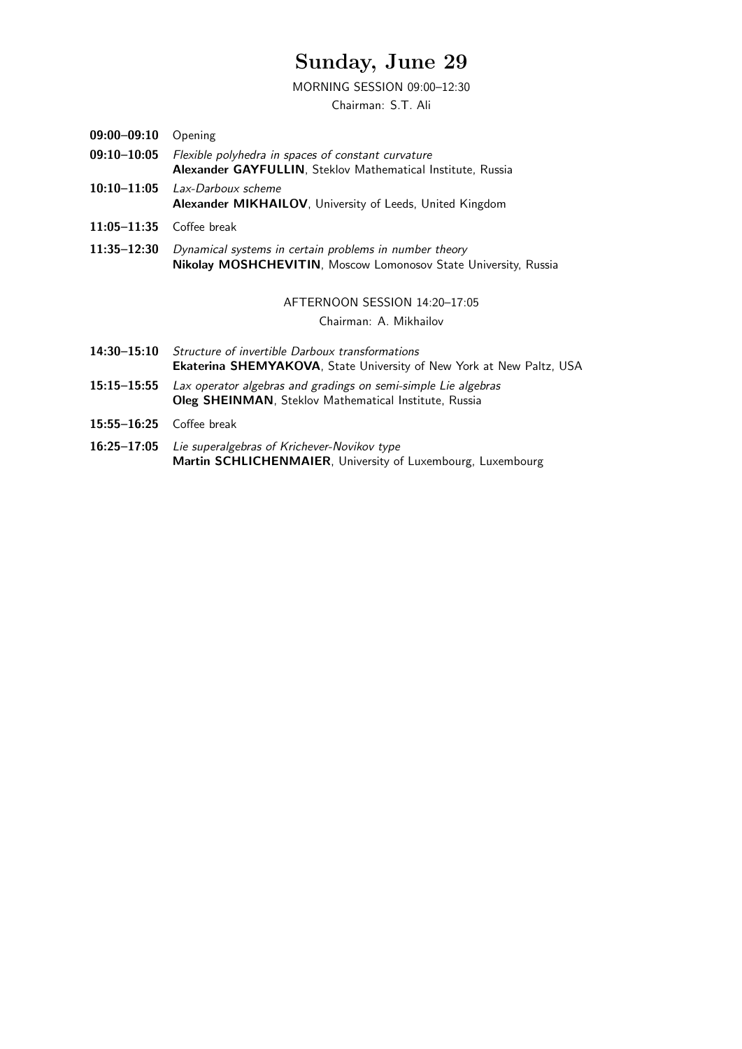### Sunday, June 29

#### MORNING SESSION 09:00–12:30

Chairman: S.T. Ali

- 09:00-09:10 Opening
- 09:10–10:05 Flexible polyhedra in spaces of constant curvature Alexander GAYFULLIN, Steklov Mathematical Institute, Russia
- 10:10-11:05 Lax-Darboux scheme Alexander MIKHAILOV, University of Leeds, United Kingdom
- 11:05–11:35 Coffee break
- 11:35–12:30 Dynamical systems in certain problems in number theory Nikolay MOSHCHEVITIN, Moscow Lomonosov State University, Russia

#### AFTERNOON SESSION 14:20–17:05

Chairman: A. Mikhailov

- 14:30–15:10 Structure of invertible Darboux transformations Ekaterina SHEMYAKOVA, State University of New York at New Paltz, USA
- 15:15–15:55 Lax operator algebras and gradings on semi-simple Lie algebras Oleg SHEINMAN, Steklov Mathematical Institute, Russia
- 15:55–16:25 Coffee break
- 16:25–17:05 Lie superalgebras of Krichever-Novikov type Martin SCHLICHENMAIER, University of Luxembourg, Luxembourg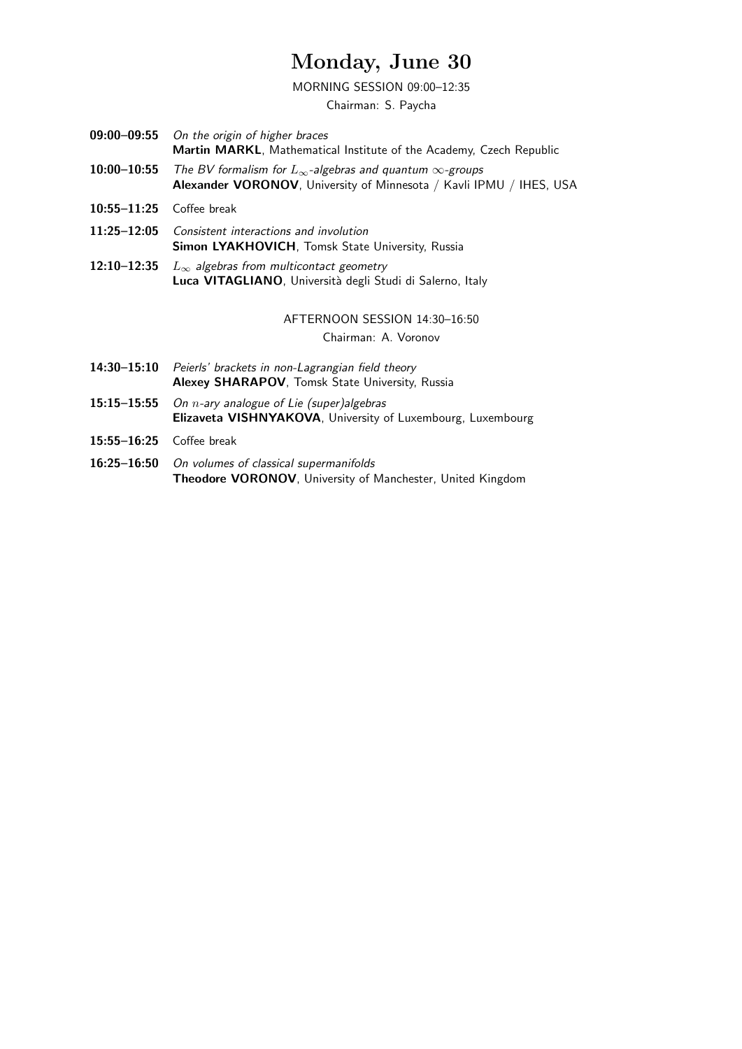# Monday, June 30

MORNING SESSION 09:00–12:35

Chairman: S. Paycha

| 09:00–09:55 On the origin of higher braces                                           |
|--------------------------------------------------------------------------------------|
| <b>Martin MARKL.</b> Mathematical Institute of the Academy, Czech Republic           |
| 10:00–10:55 The BV formalism for $L_{\infty}$ -algebras and quantum $\infty$ -groups |

- Alexander VORONOV, University of Minnesota / Kavli IPMU / IHES, USA
- 10:55–11:25 Coffee break
- 11:25–12:05 Consistent interactions and involution Simon LYAKHOVICH, Tomsk State University, Russia
- 12:10–12:35  $L_{\infty}$  algebras from multicontact geometry Luca VITAGLIANO, Università degli Studi di Salerno, Italy

#### AFTERNOON SESSION 14:30–16:50

Chairman: A. Voronov

- 14:30-15:10 Peierls' brackets in non-Lagrangian field theory Alexey SHARAPOV, Tomsk State University, Russia
- 15:15–15:55 On  $n$ -ary analogue of Lie (super)algebras Elizaveta VISHNYAKOVA, University of Luxembourg, Luxembourg
- 15:55–16:25 Coffee break
- 16:25–16:50 On volumes of classical supermanifolds Theodore VORONOV, University of Manchester, United Kingdom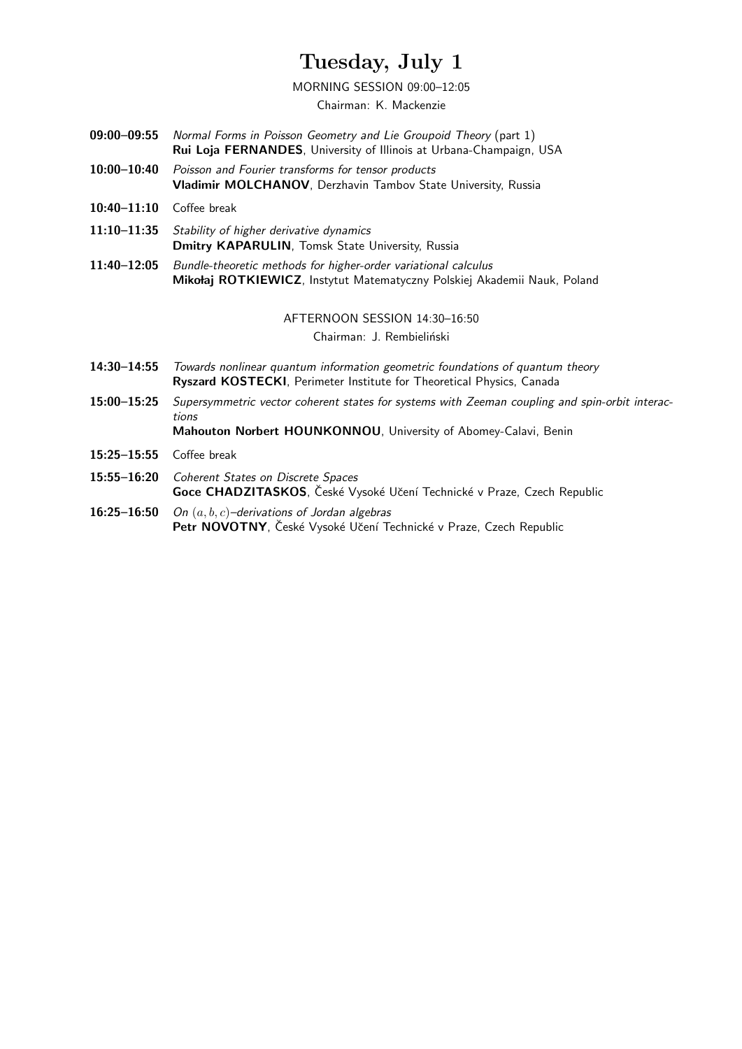# Tuesday, July 1

MORNING SESSION 09:00–12:05

Chairman: K. Mackenzie

- 09:00–09:55 Normal Forms in Poisson Geometry and Lie Groupoid Theory (part 1) Rui Loja FERNANDES, University of Illinois at Urbana-Champaign, USA
- 10:00–10:40 Poisson and Fourier transforms for tensor products Vladimir MOLCHANOV, Derzhavin Tambov State University, Russia
- 10:40–11:10 Coffee break
- 11:10–11:35 Stability of higher derivative dynamics Dmitry KAPARULIN, Tomsk State University, Russia
- 11:40–12:05 Bundle-theoretic methods for higher-order variational calculus Mikołaj ROTKIEWICZ, Instytut Matematyczny Polskiej Akademii Nauk, Poland

AFTERNOON SESSION 14:30–16:50

Chairman: J. Rembieliński

- 14:30–14:55 Towards nonlinear quantum information geometric foundations of quantum theory Ryszard KOSTECKI, Perimeter Institute for Theoretical Physics, Canada
- 15:00–15:25 Supersymmetric vector coherent states for systems with Zeeman coupling and spin-orbit interactions

Mahouton Norbert HOUNKONNOU, University of Abomey-Calavi, Benin

- 15:25–15:55 Coffee break
- 15:55–16:20 Coherent States on Discrete Spaces Goce CHADZITASKOS, České Vysoké Učení Technické v Praze, Czech Republic
- 16:25–16:50 On  $(a, b, c)$ –derivations of Jordan algebras Petr NOVOTNY, České Vysoké Učení Technické v Praze, Czech Republic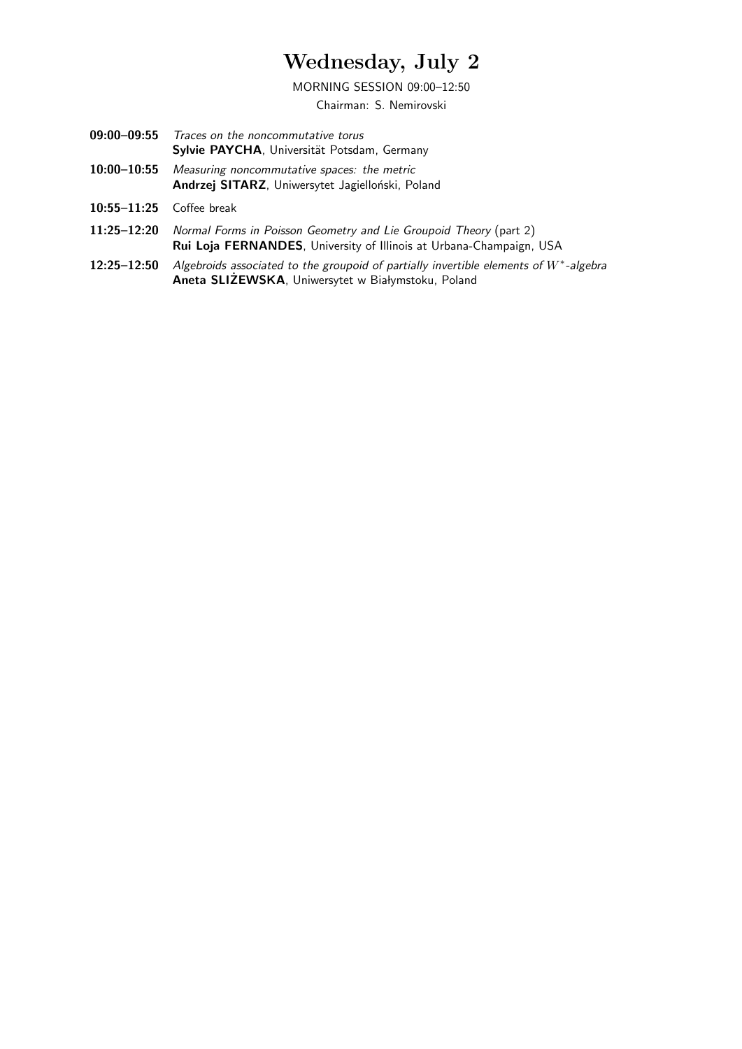### Wednesday, July 2

MORNING SESSION 09:00–12:50

Chairman: S. Nemirovski

- 09:00–09:55 Traces on the noncommutative torus Sylvie PAYCHA, Universität Potsdam, Germany
- 10:00–10:55 Measuring noncommutative spaces: the metric Andrzej SITARZ, Uniwersytet Jagielloński, Poland
- 10:55–11:25 Coffee break
- 11:25–12:20 Normal Forms in Poisson Geometry and Lie Groupoid Theory (part 2) Rui Loja FERNANDES, University of Illinois at Urbana-Champaign, USA
- 12:25-12:50 Algebroids associated to the groupoid of partially invertible elements of W<sup>\*</sup>-algebra Aneta SLIŻEWSKA, Uniwersytet w Białymstoku, Poland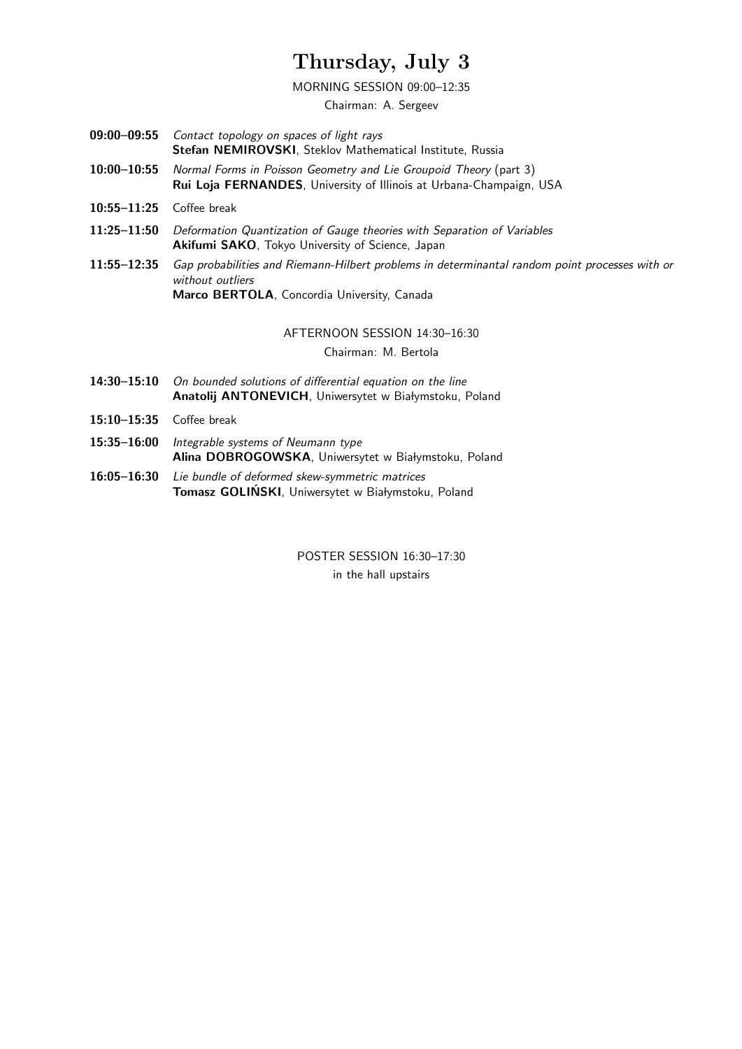# Thursday, July 3

#### MORNING SESSION 09:00–12:35

Chairman: A. Sergeev

- 09:00–09:55 Contact topology on spaces of light rays Stefan NEMIROVSKI, Steklov Mathematical Institute, Russia
- 10:00–10:55 Normal Forms in Poisson Geometry and Lie Groupoid Theory (part 3) Rui Loja FERNANDES, University of Illinois at Urbana-Champaign, USA
- 10:55–11:25 Coffee break
- 11:25–11:50 Deformation Quantization of Gauge theories with Separation of Variables Akifumi SAKO, Tokyo University of Science, Japan
- 11:55–12:35 Gap probabilities and Riemann-Hilbert problems in determinantal random point processes with or without outliers Marco BERTOLA, Concordia University, Canada

AFTERNOON SESSION 14:30–16:30

Chairman: M. Bertola

- 14:30–15:10 On bounded solutions of differential equation on the line Anatolij ANTONEVICH, Uniwersytet w Białymstoku, Poland
- 15:10–15:35 Coffee break
- 15:35-16:00 Integrable systems of Neumann type Alina DOBROGOWSKA, Uniwersytet w Białymstoku, Poland
- 16:05–16:30 Lie bundle of deformed skew-symmetric matrices Tomasz GOLIŃSKI, Uniwersytet w Białymstoku, Poland

POSTER SESSION 16:30–17:30 in the hall upstairs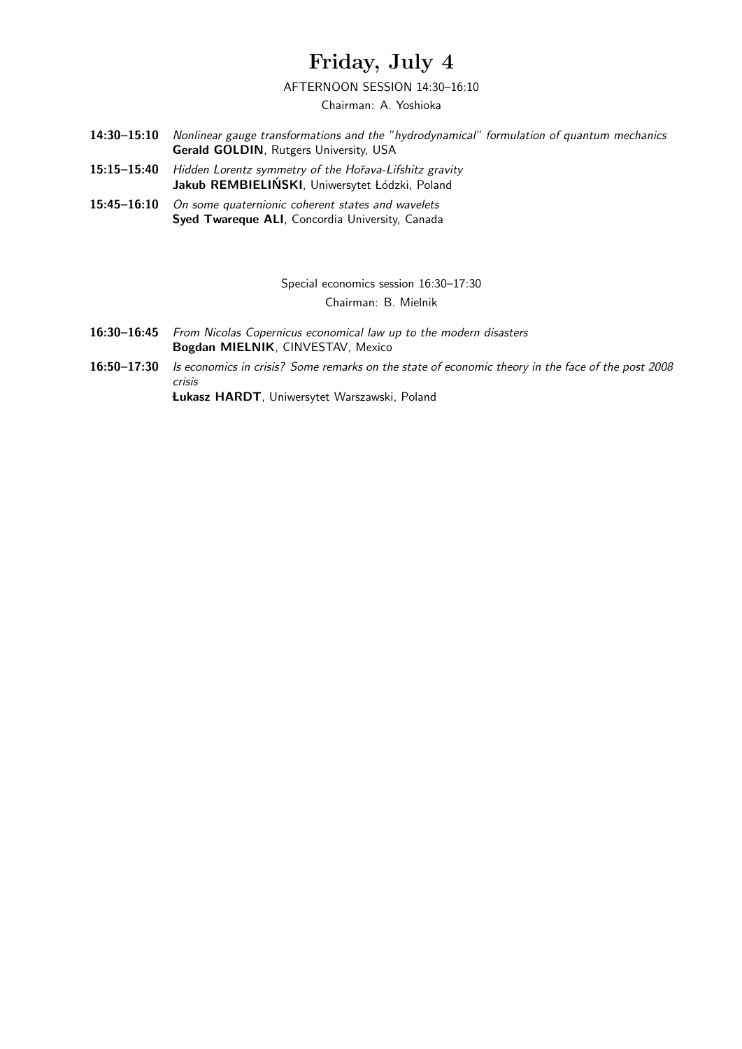### Friday, July 4

#### AFTERNOON SESSION 14:30–16:10

Chairman: A. Yoshioka

- 14:30–15:10 Nonlinear gauge transformations and the "hydrodynamical" formulation of quantum mechanics Gerald GOLDIN, Rutgers University, USA
- 15:15-15:40 Hidden Lorentz symmetry of the Hořava-Lifshitz gravity Jakub REMBIELIŃSKI, Uniwersytet Łódzki, Poland
- 15:45–16:10 On some quaternionic coherent states and wavelets Syed Twareque ALI, Concordia University, Canada

Special economics session 16:30–17:30 Chairman: B. Mielnik

- 16:30–16:45 From Nicolas Copernicus economical law up to the modern disasters Bogdan MIELNIK, CINVESTAV, Mexico
- 16:50–17:30 Is economics in crisis? Some remarks on the state of economic theory in the face of the post 2008 crisis

Lukasz HARDT, Uniwersytet Warszawski, Poland